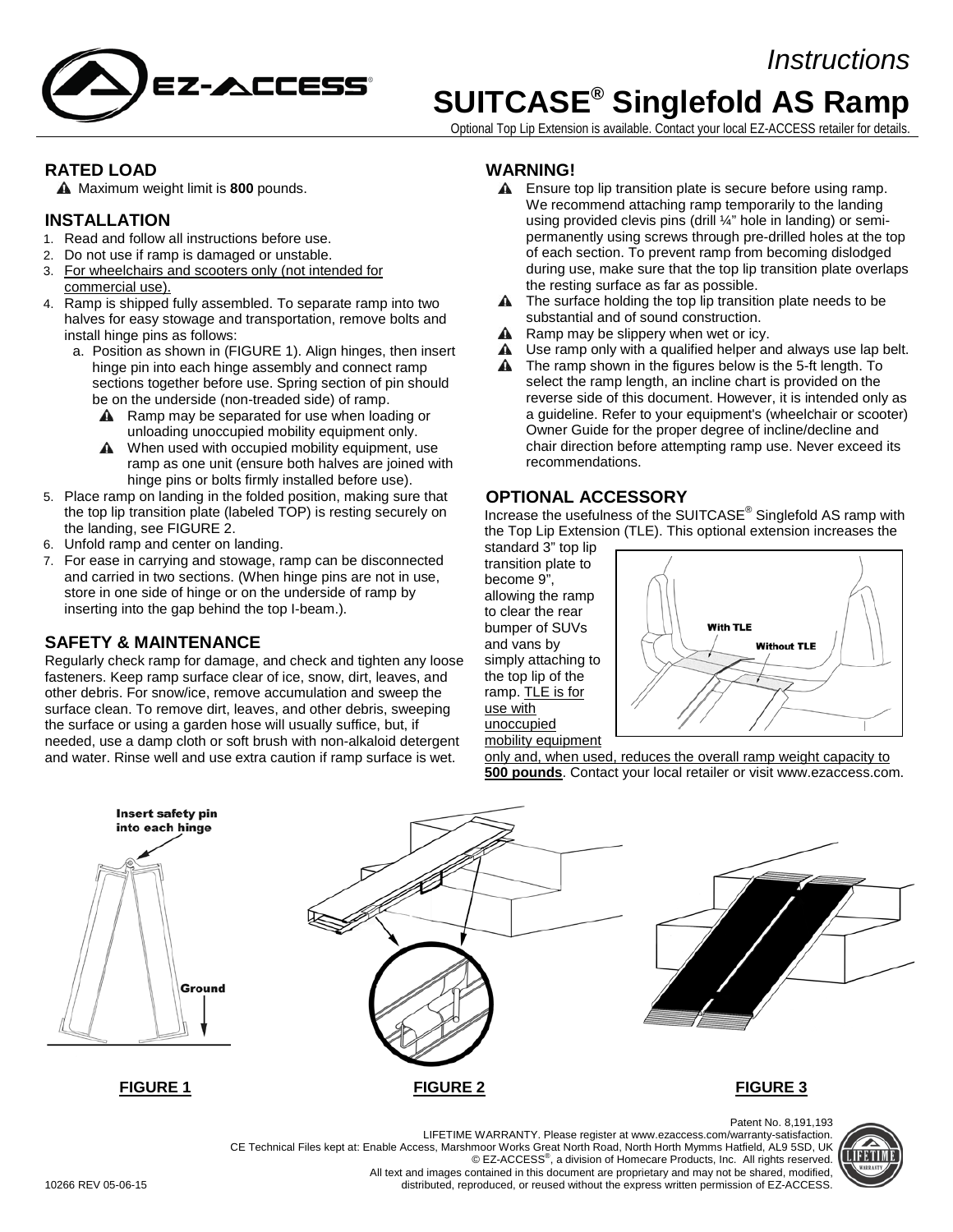



# **SUITCASE® Singlefold AS Ramp**

Optional Top Lip Extension is available. Contact your local EZ-ACCESS retailer for details.

#### **RATED LOAD**

Maximum weight limit is **800** pounds.

#### **INSTALLATION**

- 1. Read and follow all instructions before use.
- 2. Do not use if ramp is damaged or unstable.
- 3. For wheelchairs and scooters only (not intended for commercial use).
- 4. Ramp is shipped fully assembled. To separate ramp into two halves for easy stowage and transportation, remove bolts and install hinge pins as follows:
	- a. Position as shown in (FIGURE 1). Align hinges, then insert hinge pin into each hinge assembly and connect ramp sections together before use. Spring section of pin should be on the underside (non-treaded side) of ramp.
		- A Ramp may be separated for use when loading or unloading unoccupied mobility equipment only.
		- **A** When used with occupied mobility equipment, use ramp as one unit (ensure both halves are joined with hinge pins or bolts firmly installed before use).
- 5. Place ramp on landing in the folded position, making sure that the top lip transition plate (labeled TOP) is resting securely on the landing, see FIGURE 2.
- 6. Unfold ramp and center on landing.
- 7. For ease in carrying and stowage, ramp can be disconnected and carried in two sections. (When hinge pins are not in use, store in one side of hinge or on the underside of ramp by inserting into the gap behind the top I-beam.).

### **SAFETY & MAINTENANCE**

Regularly check ramp for damage, and check and tighten any loose fasteners. Keep ramp surface clear of ice, snow, dirt, leaves, and other debris. For snow/ice, remove accumulation and sweep the surface clean. To remove dirt, leaves, and other debris, sweeping the surface or using a garden hose will usually suffice, but, if needed, use a damp cloth or soft brush with non-alkaloid detergent and water. Rinse well and use extra caution if ramp surface is wet.

#### **WARNING!**

- **A** Ensure top lip transition plate is secure before using ramp. We recommend attaching ramp temporarily to the landing using provided clevis pins (drill ¼" hole in landing) or semipermanently using screws through pre-drilled holes at the top of each section. To prevent ramp from becoming dislodged during use, make sure that the top lip transition plate overlaps the resting surface as far as possible.
- **A** The surface holding the top lip transition plate needs to be substantial and of sound construction.
- $\triangle$  Ramp may be slippery when wet or icy.
- A Use ramp only with a qualified helper and always use lap belt.
- **A** The ramp shown in the figures below is the 5-ft length. To select the ramp length, an incline chart is provided on the reverse side of this document. However, it is intended only as a guideline. Refer to your equipment's (wheelchair or scooter) Owner Guide for the proper degree of incline/decline and chair direction before attempting ramp use. Never exceed its recommendations.

#### **OPTIONAL ACCESSORY**

Increase the usefulness of the SUITCASE<sup>®</sup> Singlefold AS ramp with the Top Lip Extension (TLE). This optional extension increases the

standard 3" top lip transition plate to become 9", allowing the ramp to clear the rear bumper of SUVs and vans by simply attaching to the top lip of the ramp. TLE is for use with unoccupied



mobility equipment only and, when used, reduces the overall ramp weight capacity to **500 pounds**. Contact your local retailer or visit www.ezaccess.com.



LIFETIME WARRANTY. Please register at www.ezaccess.com/warranty-satisfaction. CE Technical Files kept at: Enable Access, Marshmoor Works Great North Road, North Horth Mymms Hatfield, AL9 5SD, UK © EZ-ACCESS<sup>®</sup>, a division of Homecare Products, Inc. All rights reserved. All text and images contained in this document are proprietary and may not be shared, modified, distributed, reproduced, or reused without the express written permission of EZ-ACCESS.